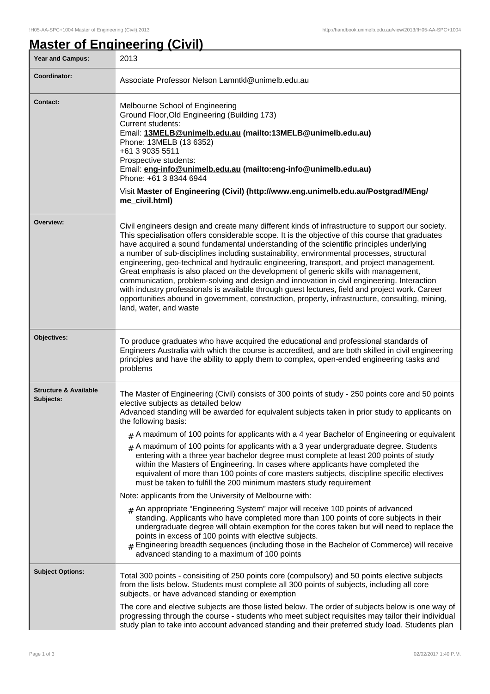# **Master of Engineering (Civil)**

| Year and Campus:                              | 2013                                                                                                                                                                                                                                                                                                                                                                                                                                                                                                                                                                                                                                                                                                                                                                                                                                                                                                                                                                                                                                                                                                                                                                                                                                                                                                                                                                      |
|-----------------------------------------------|---------------------------------------------------------------------------------------------------------------------------------------------------------------------------------------------------------------------------------------------------------------------------------------------------------------------------------------------------------------------------------------------------------------------------------------------------------------------------------------------------------------------------------------------------------------------------------------------------------------------------------------------------------------------------------------------------------------------------------------------------------------------------------------------------------------------------------------------------------------------------------------------------------------------------------------------------------------------------------------------------------------------------------------------------------------------------------------------------------------------------------------------------------------------------------------------------------------------------------------------------------------------------------------------------------------------------------------------------------------------------|
| Coordinator:                                  | Associate Professor Nelson Lamntkl@unimelb.edu.au                                                                                                                                                                                                                                                                                                                                                                                                                                                                                                                                                                                                                                                                                                                                                                                                                                                                                                                                                                                                                                                                                                                                                                                                                                                                                                                         |
| <b>Contact:</b>                               | Melbourne School of Engineering<br>Ground Floor, Old Engineering (Building 173)<br><b>Current students:</b><br>Email: 13MELB@unimelb.edu.au (mailto:13MELB@unimelb.edu.au)<br>Phone: 13MELB (13 6352)<br>+61 3 9035 5511<br>Prospective students:<br>Email: eng-info@unimelb.edu.au (mailto:eng-info@unimelb.edu.au)<br>Phone: +61 3 8344 6944<br>Visit Master of Engineering (Civil) (http://www.eng.unimelb.edu.au/Postgrad/MEng/<br>me_civil.html)                                                                                                                                                                                                                                                                                                                                                                                                                                                                                                                                                                                                                                                                                                                                                                                                                                                                                                                     |
| Overview:                                     | Civil engineers design and create many different kinds of infrastructure to support our society.<br>This specialisation offers considerable scope. It is the objective of this course that graduates<br>have acquired a sound fundamental understanding of the scientific principles underlying<br>a number of sub-disciplines including sustainability, environmental processes, structural<br>engineering, geo-technical and hydraulic engineering, transport, and project management.<br>Great emphasis is also placed on the development of generic skills with management,<br>communication, problem-solving and design and innovation in civil engineering. Interaction<br>with industry professionals is available through guest lectures, field and project work. Career<br>opportunities abound in government, construction, property, infrastructure, consulting, mining,<br>land, water, and waste                                                                                                                                                                                                                                                                                                                                                                                                                                                             |
| Objectives:                                   | To produce graduates who have acquired the educational and professional standards of<br>Engineers Australia with which the course is accredited, and are both skilled in civil engineering<br>principles and have the ability to apply them to complex, open-ended engineering tasks and<br>problems                                                                                                                                                                                                                                                                                                                                                                                                                                                                                                                                                                                                                                                                                                                                                                                                                                                                                                                                                                                                                                                                      |
| <b>Structure &amp; Available</b><br>Subjects: | The Master of Engineering (Civil) consists of 300 points of study - 250 points core and 50 points<br>elective subjects as detailed below<br>Advanced standing will be awarded for equivalent subjects taken in prior study to applicants on<br>the following basis:<br>$_{\#}$ A maximum of 100 points for applicants with a 4 year Bachelor of Engineering or equivalent<br>$#$ A maximum of 100 points for applicants with a 3 year undergraduate degree. Students<br>entering with a three year bachelor degree must complete at least 200 points of study<br>within the Masters of Engineering. In cases where applicants have completed the<br>equivalent of more than 100 points of core masters subjects, discipline specific electives<br>must be taken to fulfill the 200 minimum masters study requirement<br>Note: applicants from the University of Melbourne with:<br>$_{\#}$ An appropriate "Engineering System" major will receive 100 points of advanced<br>standing. Applicants who have completed more than 100 points of core subjects in their<br>undergraduate degree will obtain exemption for the cores taken but will need to replace the<br>points in excess of 100 points with elective subjects.<br># Engineering breadth sequences (including those in the Bachelor of Commerce) will receive<br>advanced standing to a maximum of 100 points |
| <b>Subject Options:</b>                       | Total 300 points - consisiting of 250 points core (compulsory) and 50 points elective subjects<br>from the lists below. Students must complete all 300 points of subjects, including all core<br>subjects, or have advanced standing or exemption<br>The core and elective subjects are those listed below. The order of subjects below is one way of<br>progressing through the course - students who meet subject requisites may tailor their individual<br>study plan to take into account advanced standing and their preferred study load. Students plan                                                                                                                                                                                                                                                                                                                                                                                                                                                                                                                                                                                                                                                                                                                                                                                                             |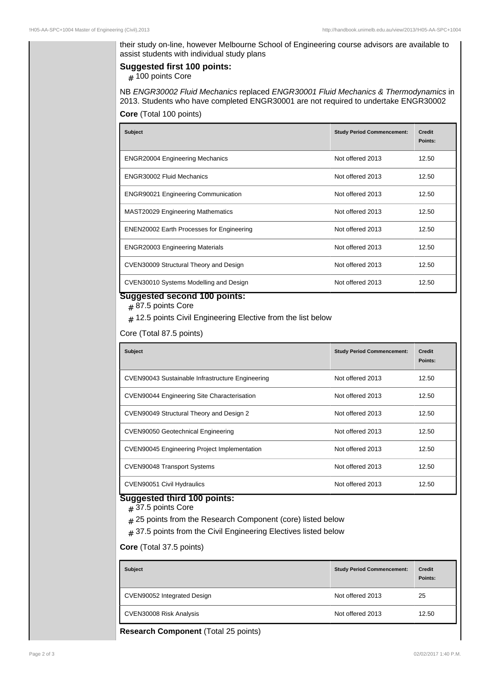their study on-line, however Melbourne School of Engineering course advisors are available to assist students with individual study plans

#### **Suggested first 100 points:**

# 100 points Core

NB ENGR30002 Fluid Mechanics replaced ENGR30001 Fluid Mechanics & Thermodynamics in 2013. Students who have completed ENGR30001 are not required to undertake ENGR30002

**Core** (Total 100 points)

| <b>Subject</b>                                   | <b>Study Period Commencement:</b> | <b>Credit</b><br>Points: |
|--------------------------------------------------|-----------------------------------|--------------------------|
| <b>ENGR20004 Engineering Mechanics</b>           | Not offered 2013                  | 12.50                    |
| ENGR30002 Fluid Mechanics                        | Not offered 2013                  | 12.50                    |
| <b>ENGR90021 Engineering Communication</b>       | Not offered 2013                  | 12.50                    |
| <b>MAST20029 Engineering Mathematics</b>         | Not offered 2013                  | 12.50                    |
| <b>ENEN20002 Earth Processes for Engineering</b> | Not offered 2013                  | 12.50                    |
| <b>ENGR20003 Engineering Materials</b>           | Not offered 2013                  | 12.50                    |
| CVEN30009 Structural Theory and Design           | Not offered 2013                  | 12.50                    |
| CVEN30010 Systems Modelling and Design           | Not offered 2013                  | 12.50                    |

### **Suggested second 100 points:**

# 87.5 points Core

 $_{\#}$  12.5 points Civil Engineering Elective from the list below

Core (Total 87.5 points)

| <b>Subject</b>                                      | <b>Study Period Commencement:</b> | <b>Credit</b><br>Points: |
|-----------------------------------------------------|-----------------------------------|--------------------------|
| CVEN90043 Sustainable Infrastructure Engineering    | Not offered 2013                  | 12.50                    |
| <b>CVEN90044 Engineering Site Characterisation</b>  | Not offered 2013                  | 12.50                    |
| CVEN90049 Structural Theory and Design 2            | Not offered 2013                  | 12.50                    |
| CVEN90050 Geotechnical Engineering                  | Not offered 2013                  | 12.50                    |
| <b>CVEN90045 Engineering Project Implementation</b> | Not offered 2013                  | 12.50                    |
| <b>CVEN90048 Transport Systems</b>                  | Not offered 2013                  | 12.50                    |
| CVEN90051 Civil Hydraulics                          | Not offered 2013                  | 12.50                    |

## **Suggested third 100 points:**

# 37.5 points Core

- $_{\rm \#}$  25 points from the Research Component (core) listed below
- $_{\#}$  37.5 points from the Civil Engineering Electives listed below

#### **Core** (Total 37.5 points)

| <b>Subject</b>              | <b>Study Period Commencement:</b> | <b>Credit</b><br>Points: |
|-----------------------------|-----------------------------------|--------------------------|
| CVEN90052 Integrated Design | Not offered 2013                  | 25                       |
| CVEN30008 Risk Analysis     | Not offered 2013                  | 12.50                    |

**Research Component** (Total 25 points)